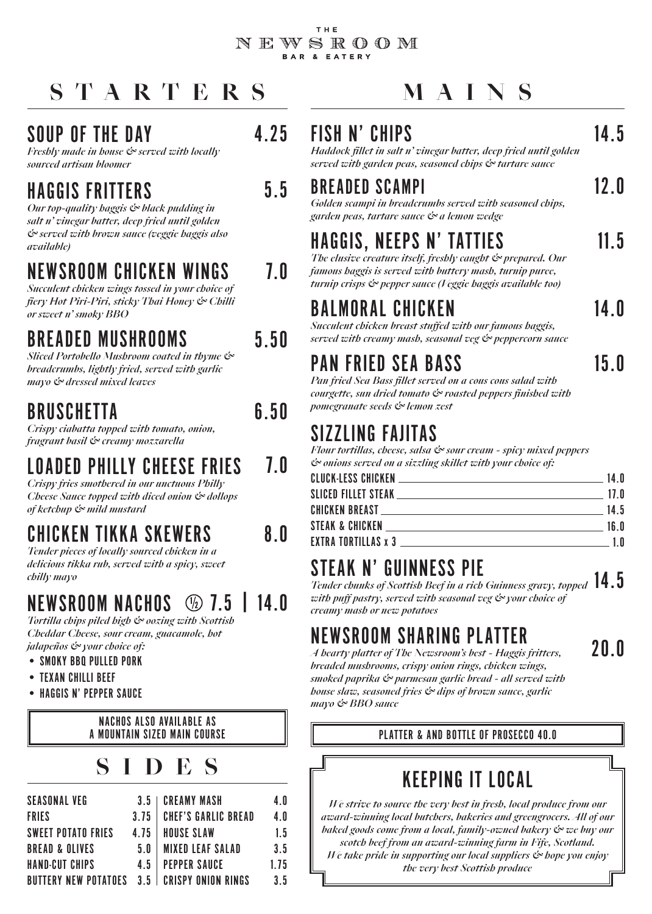### THE NEWSROOM BAR & EATERY

# **STARTERS MAINS**

### SOUP OF THE DAY

*Freshly made in house & served with locally sourced artisan bloomer*

### HAGGIS FRITTERS

*Our top-quality haggis & black pudding in salt n' vinegar batter, deep fried until golden & served with brown sauce (veggie haggis also available)*

### NEWSROOM CHICKEN WINGS

*Succulent chicken wings tossed in your choice of fiery Hot Piri-Piri, sticky Thai Honey & Chilli or sweet n' smoky BBQ*

### BREADED MUSHROOMS

*Sliced Portobello Mushroom coated in thyme & breadcrumbs, lightly fried, served with garlic mayo & dressed mixed leaves*

### BRUSCHETTA

*Crispy ciabatta topped with tomato, onion, fragrant basil & creamy mozzarella*

### LOADED PHILLY CHEESE FRIES

*Crispy fries smothered in our unctuous Philly Cheese Sauce topped with diced onion & dollops of ketchup & mild mustard*

# CHICKEN TIKKA SKEWERS

*Tender pieces of locally sourced chicken in a delicious tikka rub, served with a spicy, sweet chilly mayo*

### NEWSROOM NACHOS  $\circledR$  7.5 | 14 0

*Tortilla chips piled high & oozing with Scottish Cheddar Cheese, sour cream, guacamole, hot jalapeños & your choice of:*

- SMOKY BBQ PULLED PORK
- TEXAN CHILLI BEEF
- HAGGIS N' PEPPER SAUCE

NACHOS ALSO AVAILABLE AS A MOUNTAIN SIZED MAIN COURSE

# **SIDES**

| <b>SEASONAL VEG</b>         | 3.5  | <b>CREAMY MASH</b>         | 4. N |
|-----------------------------|------|----------------------------|------|
| <b>FRIES</b>                | 3.75 | <b>CHEF'S GARLIC BREAD</b> | 4.0  |
| <b>SWEET POTATO FRIES</b>   | 4.75 | <b>HOUSE SLAW</b>          | 1.5  |
| <b>BREAD &amp; OLIVES</b>   | 5.0  | <b>MIXED LEAF SALAD</b>    | 3.5  |
| HAND-CUT CHIPS              | 45   | <b>PEPPER SAUCE</b>        | 1.75 |
| <b>BUTTERY NEW POTATOES</b> | 3.5  | <b>CRISPY ONION RINGS</b>  | 3.5  |

### 14.5

*Haddock fillet in salt n' vinegar batter, deep fried until golden served with garden peas, seasoned chips & tartare sauce*

### 5.5 BREADED SCAMPI

FISH N' CHIPS

*Golden scampi in breadcrumbs served with seasoned chips, garden peas, tartare sauce & a lemon wedge*

# HAGGIS, NEEPS N' TATTIES

*The elusive creature itself, freshly caught & prepared. Our famous haggis is served with buttery mash, turnip puree, turnip crisps & pepper sauce (Veggie haggis available too)*

## BALMORAL CHICKEN

*Succulent chicken breast stuffed with our famous haggis, served with creamy mash, seasonal veg & peppercorn sauce*

### PAN FRIED SEA BASS

15.0

14.0

11.5

12.0

*Pan fried Sea Bass fillet served on a cous cous salad with courgette, sun dried tomato & roasted peppers finished with pomegranate seeds & lemon zest*

## SIZZLING FAJITAS

*Flour tortillas, cheese, salsa & sour cream - spicy mixed peppers & onions served on a sizzling skillet with your choice of:*

|  |  | 14.0             |
|--|--|------------------|
|  |  | 17. $\mathbf{0}$ |
|  |  | 14.5             |
|  |  | 16.0             |
|  |  | 1 N              |

### STEAK N' GUINNESS PIE

*Tender chunks of Scottish Beef in a rich Guinness gravy, topped*  14.5 *with puff pastry, served with seasonal veg & your choice of creamy mash or new potatoes*

## NEWSROOM SHARING PLATTER

20.0

*A hearty platter of The Newsroom's best - Haggis fritters, breaded mushrooms, crispy onion rings, chicken wings, smoked paprika & parmesan garlic bread - all served with house slaw, seasoned fries & dips of brown sauce, garlic mayo & BBQ sauce*

### PLATTER & AND BOTTLE OF PROSECCO 40.0

## KEEPING IT LOCAL

*We strive to source the very best in fresh, local produce from our award-winning local butchers, bakeries and greengrocers. All of our baked goods come from a local, family-owned bakery & we buy our scotch beef from an award-winning farm in Fife, Scotland. We take pride in supporting our local suppliers & hope you enjoy the very best Scottish produce*

5.50

4.25

7.0

- 6.50
- 

7.0

8.0